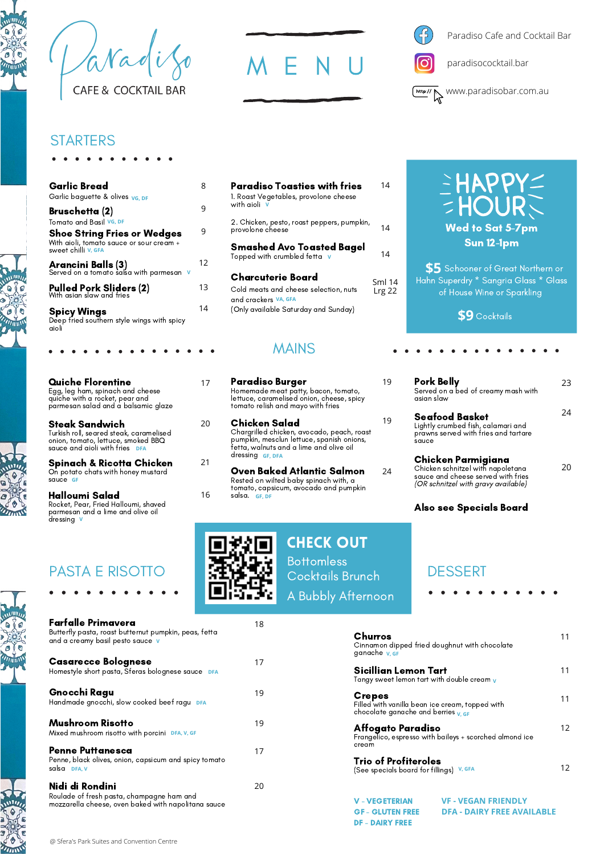avadi **CAFE & COCKTAIL BAR** 





19

19

24

DF - DAIRY FREE

paradisococktail.bar



#### **STARTERS**

| <b>Garlic Bread</b>                                                                                   | 8  |
|-------------------------------------------------------------------------------------------------------|----|
| Garlic baguette & olives vg. DF                                                                       |    |
| Bruschetta (2)<br>Tomato and Basil VG, DF                                                             | 9  |
| <b>Shoe String Fries or Wedges</b><br>With aioli, tomato sauce or sour cream +<br>sweet chilli V. GFA | 9  |
| Arancini Balls (3)<br>Served on a tomato salsa with parmesan v                                        | 12 |
| <b>Pulled Pork Sliders (2)</b><br>With asian slaw and fries                                           | 13 |
| <b>Spicy Wings</b><br>Deep fried southern style wings with spicy<br>aioli                             | 14 |

| <b>Quiche Florentine</b><br>Egg, leg ham, spinach and cheese<br>quiche with a rocket, pear and<br>parmesan salad and a balsamic glaze |    |
|---------------------------------------------------------------------------------------------------------------------------------------|----|
| Steak Sandwich<br>Turkish roll, seared steak, caramelised<br>onion, tomato, lettuce, smoked BBQ<br>sauce and aioli with fries DFA     | 20 |
| Spinach & Ricotta Chicken<br>On potato chats with honey mustard<br>squce GF                                                           | 21 |
| Halloumi Salad<br>Rocket, Pear, Fried Halloumi, shaved<br>parmesan and a lime and olive oil<br>dressing                               | 16 |

| Paradiso Toasties with fries<br>1. Roast Vegetables, provolone cheese<br>with aioli                                        | 14               |
|----------------------------------------------------------------------------------------------------------------------------|------------------|
| 2. Chicken, pesto, roast peppers, pumpkin,<br>provolone cheese                                                             | 14               |
| <b>Smashed Avo Toasted Bagel</b><br>Topped with crumbled fetta v                                                           | 14               |
| Charcuterie Board<br>Cold meats and cheese selection, nuts<br>and crackers VA, GFA<br>(Only available Saturday and Sunday) | Sml 14<br>Lrg 22 |

### MAINS

- Paradiso Burger Homemade meat patty, bacon, tomato, lettuce, caramelised onion, cheese, spicy tomato relish and mayo with fries Chicken Salad
- Chargrilled chicken, avocado, peach, roast pumpkin, mesclun lettuce, spanish onions, fetta, walnuts and a lime and olive oil dressing **GF, DFA**
- Oven Baked Atlantic Salmon Rested on wilted baby spinach with, a tomato, capsicum, avocado and pumpkin salsa. **GF, DF**

check out

Cocktails Brunch

A Bubbly Afternoon

**Bottomless** 

18

17

19

19

17

20

# HAPPY Wed to Sat 5-7pm Sun 12-1pm

Schooner of Great Northern or **\$5** Hahn Superdry \* Sangria Glass \* Glass of House Wine or Sparkling

Cocktails **\$9**

| Pork Belly<br>Served on a bed of creamy mash with<br>asian slaw                                                                      | ノメ |
|--------------------------------------------------------------------------------------------------------------------------------------|----|
| Seafood Basket<br>Lightly crumbed fish, calamari and<br>prawns served with fries and tartare<br>sauce                                | 2Δ |
| Chicken Parmigiana<br>Chicken schnitzel with napoletana<br>sauce and cheese served with fries<br>(OR schnitzel with gravy available) |    |

#### Also see Specials Board

| Churros<br>ganache <u>v. GF</u>                                                                               | Cinnamon dipped fried doughnut with chocolate                   | 11 |
|---------------------------------------------------------------------------------------------------------------|-----------------------------------------------------------------|----|
| Sicillian Lemon Tart<br>Tangy sweet lemon tart with double cream v                                            |                                                                 | 11 |
| <b>Crepes</b><br>Filled with vanilla bean ice cream, topped with<br>chocolate ganache and berries $\bf{v}$ of |                                                                 | 11 |
| Affogato Paradiso<br>cream                                                                                    | Frangelico, espresso with baileys + scorched almond ice         | 12 |
| <b>Trio of Profiteroles</b><br>(See specials board for fillings) V, GFA                                       |                                                                 | 12 |
| V - VEGETERIAN<br><b>GF - GLUTEN FREE</b>                                                                     | <b>VF - VEGAN FRIENDLY</b><br><b>DFA - DAIRY FREE AVAILABLE</b> |    |

# PASTA E RISOTTO DESSERT

and a creamy basil pesto sauce **V**

Casarecce Bolognese

Butterfly pasta, roast butternut pumpkin, peas, fetta

Homestyle short pasta, Sferas bolognese sauce **DFA**

Handmade gnocchi, slow cooked beef ragu **DFA**

Mixed mushroom risotto with porcini **DFA, V, GF**

Roulade of fresh pasta, champagne ham and mozzarella cheese, oven baked with napolitana sauce

Penne, black olives, onion, capsicum and spicy tomato

Farfalle Primavera

Gnocchi Ragu

Mushroom Risotto

Penne Puttanesca

salsa **DFA, V**

Nidi di Rondini





@ Sfera's Park Suites and Convention Centre